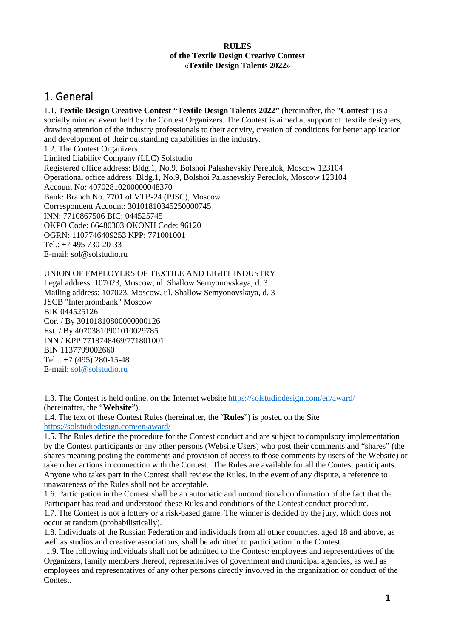#### **RULES of the Textile Design Creative Contest «Textile Design Talents 2022»**

### 1. General

1.1. **Textile Design Creative Contest "Textile Design Talents 2022"** (hereinafter, the "**Contest**") is a socially minded event held by the Contest Organizers. The Contest is aimed at support of textile designers, drawing attention of the industry professionals to their activity, creation of conditions for better application and development of their outstanding capabilities in the industry.

1.2. The Contest Organizers: Limited Liability Company (LLC) Solstudio Registered office address: Bldg.1, No.9, Bolshoi Palashevskiy Pereulok, Moscow 123104 Operational office address: Bldg.1, No.9, Bolshoi Palashevskiy Pereulok, Moscow 123104 Account No: 40702810200000048370 Bank: Branch No. 7701 of VTB-24 (PJSC), Moscow Correspondent Account: 30101810345250000745 INN: 7710867506 BIC: 044525745 OKPO Code: 66480303 OKONH Code: 96120 OGRN: 1107746409253 KPP: 771001001 Tel.: +7 495 730-20-33 E-mail: [sol@solstudio.ru](mailto:sol@solstudio.ru)

#### UNION OF EMPLOYERS OF TEXTILE AND LIGHT INDUSTRY

Legal address: 107023, Moscow, ul. Shallow Semyonovskaya, d. 3. Mailing address: 107023, Moscow, ul. Shallow Semyonovskaya, d. 3 JSCB "Interprombank" Moscow BIK 044525126 Cor. / By 30101810800000000126 Est. / By 40703810901010029785 INN / KPP 7718748469/771801001 BIN 1137799002660 Tel  $\therefore$  +7 (495) 280-15-48 E-mail: [sol@solstudio.ru](mailto:sol@solstudio.ru)

1.3. The Contest is held online, on the Internet website <https://solstudiodesign.com/en/award/> (hereinafter, the "**Website**").

1.4. The text of these Contest Rules (hereinafter, the "**Rules**") is posted on the Site <https://solstudiodesign.com/en/award/>

1.5. The Rules define the procedure for the Contest conduct and are subject to compulsory implementation by the Contest participants or any other persons (Website Users) who post their comments and "shares" (the shares meaning posting the comments and provision of access to those comments by users of the Website) or take other actions in connection with the Contest. The Rules are available for all the Contest participants. Anyone who takes part in the Contest shall review the Rules. In the event of any dispute, a reference to unawareness of the Rules shall not be acceptable.

1.6. Participation in the Contest shall be an automatic and unconditional confirmation of the fact that the Participant has read and understood these Rules and conditions of the Contest conduct procedure. 1.7. The Contest is not a lottery or a risk-based game. The winner is decided by the jury, which does not occur at random (probabilistically).

1.8. Individuals of the Russian Federation and individuals from all other countries, aged 18 and above, as well as studios and creative associations, shall be admitted to participation in the Contest.

1.9. The following individuals shall not be admitted to the Contest: employees and representatives of the Organizers, family members thereof, representatives of government and municipal agencies, as well as employees and representatives of any other persons directly involved in the organization or conduct of the Contest.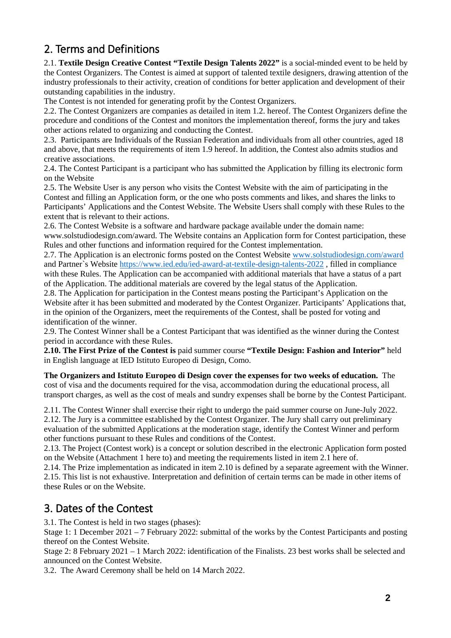# 2. Terms and Definitions

2.1. **Textile Design Creative Contest "Textile Design Talents 2022"** is a social-minded event to be held by the Contest Organizers. The Contest is aimed at support of talented textile designers, drawing attention of the industry professionals to their activity, creation of conditions for better application and development of their outstanding capabilities in the industry.

The Contest is not intended for generating profit by the Contest Organizers.

2.2. The Contest Organizers are companies as detailed in item 1.2. hereof. The Contest Organizers define the procedure and conditions of the Contest and monitors the implementation thereof, forms the jury and takes other actions related to organizing and conducting the Contest.

2.3. Participants are Individuals of the Russian Federation and individuals from all other countries, aged 18 and above, that meets the requirements of item 1.9 hereof. In addition, the Contest also admits studios and creative associations.

2.4. The Contest Participant is a participant who has submitted the Application by filling its electronic form on the Website

2.5. The Website User is any person who visits the Contest Website with the aim of participating in the Contest and filling an Application form, or the one who posts comments and likes, and shares the links to Participants' Applications and the Contest Website. The Website Users shall comply with these Rules to the extent that is relevant to their actions.

2.6. The Contest Website is a software and hardware package available under the domain name: www.solstudiodesign.com/award. The Website contains an Application form for Contest participation, these Rules and other functions and information required for the Contest implementation.

2.7. The Application is an electronic forms posted on the Contest Website [www.solstudiodesign.com/award](http://www.solstudiodesign.com/award) and Partner`s Website <https://www.ied.edu/ied-award-at-textile-design-talents-2022> , filled in compliance with these Rules. The Application can be accompanied with additional materials that have a status of a part of the Application. The additional materials are covered by the legal status of the Application.

2.8. The Application for participation in the Contest means posting the Participant's Application on the Website after it has been submitted and moderated by the Contest Organizer. Participants' Applications that, in the opinion of the Organizers, meet the requirements of the Contest, shall be posted for voting and identification of the winner.

2.9. The Contest Winner shall be a Contest Participant that was identified as the winner during the Contest period in accordance with these Rules.

**2.10. The First Prize of the Contest is** paid summer course **"Textile Design: Fashion and Interior"** held in English language at IED Istituto Europeo di Design, Como.

**The Organizers and Istituto Europeo di Design cover the expenses for two weeks of education.** The cost of visa and the documents required for the visa, accommodation during the educational process, all transport charges, as well as the cost of meals and sundry expenses shall be borne by the Contest Participant.

2.11. The Contest Winner shall exercise their right to undergo the paid summer course on June-July 2022.

2.12. The Jury is a committee established by the Contest Organizer. The Jury shall carry out preliminary evaluation of the submitted Applications at the moderation stage, identify the Contest Winner and perform other functions pursuant to these Rules and conditions of the Contest.

2.13. The Project (Contest work) is a concept or solution described in the electronic Application form posted on the Website (Attachment 1 here to) and meeting the requirements listed in item 2.1 here of.

2.14. The Prize implementation as indicated in item 2.10 is defined by a separate agreement with the Winner. 2.15. This list is not exhaustive. Interpretation and definition of certain terms can be made in other items of these Rules or on the Website.

#### 3. Dates of the Contest

3.1. The Contest is held in two stages (phases):

Stage 1: 1 December 2021 – 7 February 2022: submittal of the works by the Contest Participants and posting thereof on the Contest Website.

Stage 2: 8 February 2021 – 1 March 2022: identification of the Finalists. 23 best works shall be selected and announced on the Contest Website.

3.2. The Award Ceremony shall be held on 14 March 2022.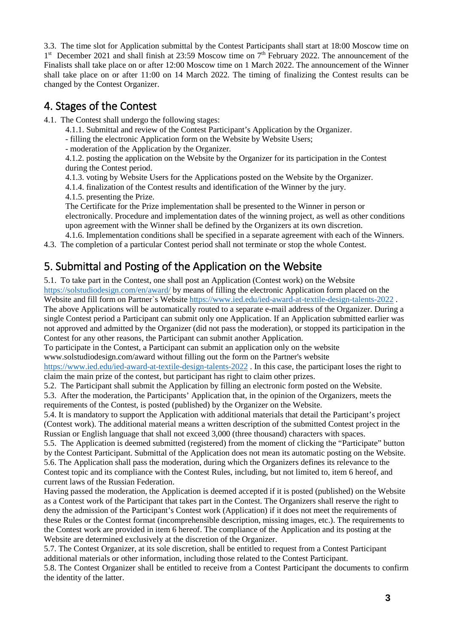3.3. The time slot for Application submittal by the Contest Participants shall start at 18:00 Moscow time on 1<sup>st</sup> December 2021 and shall finish at 23:59 Moscow time on 7<sup>th</sup> February 2022. The announcement of the Finalists shall take place on or after 12:00 Moscow time on 1 March 2022. The announcement of the Winner shall take place on or after 11:00 on 14 March 2022. The timing of finalizing the Contest results can be changed by the Contest Organizer.

#### 4. Stages of the Contest

- 4.1. The Contest shall undergo the following stages:
	- 4.1.1. Submittal and review of the Contest Participant's Application by the Organizer.
	- filling the electronic Application form on the Website by Website Users;
	- moderation of the Application by the Organizer.

4.1.2. posting the application on the Website by the Organizer for its participation in the Contest during the Contest period.

4.1.3. voting by Website Users for the Applications posted on the Website by the Organizer.

4.1.4. finalization of the Contest results and identification of the Winner by the jury.

4.1.5. presenting the Prize.

The Certificate for the Prize implementation shall be presented to the Winner in person or electronically. Procedure and implementation dates of the winning project, as well as other conditions upon agreement with the Winner shall be defined by the Organizers at its own discretion.

4.1.6. Implementation conditions shall be specified in a separate agreement with each of the Winners. 4.3. The completion of a particular Contest period shall not terminate or stop the whole Contest.

# 5. Submittal and Posting of the Application on the Website

5.1. To take part in the Contest, one shall post an Application (Contest work) on the Website <https://solstudiodesign.com/en/award/> by means of filling the electronic Application form placed on the

Website and fill form on Partner`s Website<https://www.ied.edu/ied-award-at-textile-design-talents-2022> .

The above Applications will be automatically routed to a separate e-mail address of the Organizer. During a single Contest period a Participant can submit only one Application. If an Application submitted earlier was not approved and admitted by the Organizer (did not pass the moderation), or stopped its participation in the Contest for any other reasons, the Participant can submit another Application.

To participate in the Contest, a Participant can submit an application only on the website www.solstudiodesign.com/award without filling out the form on the Partner's website

<https://www.ied.edu/ied-award-at-textile-design-talents-2022> . In this case, the participant loses the right to claim the main prize of the contest, but participant has right to claim other prizes.

5.2. The Participant shall submit the Application by filling an electronic form posted on the Website.

5.3. After the moderation, the Participants' Application that, in the opinion of the Organizers, meets the requirements of the Contest, is posted (published) by the Organizer on the Website.

5.4. It is mandatory to support the Application with additional materials that detail the Participant's project (Contest work). The additional material means a written description of the submitted Contest project in the Russian or English language that shall not exceed 3,000 (three thousand) characters with spaces.

5.5. The Application is deemed submitted (registered) from the moment of clicking the "Participate" button by the Contest Participant. Submittal of the Application does not mean its automatic posting on the Website. 5.6. The Application shall pass the moderation, during which the Organizers defines its relevance to the Contest topic and its compliance with the Contest Rules, including, but not limited to, item 6 hereof, and current laws of the Russian Federation.

Having passed the moderation, the Application is deemed accepted if it is posted (published) on the Website as a Contest work of the Participant that takes part in the Contest. The Organizers shall reserve the right to deny the admission of the Participant's Contest work (Application) if it does not meet the requirements of these Rules or the Contest format (incomprehensible description, missing images, etc.). The requirements to the Contest work are provided in item 6 hereof. The compliance of the Application and its posting at the Website are determined exclusively at the discretion of the Organizer.

5.7. The Contest Organizer, at its sole discretion, shall be entitled to request from a Contest Participant additional materials or other information, including those related to the Contest Participant.

5.8. The Contest Organizer shall be entitled to receive from a Contest Participant the documents to confirm the identity of the latter.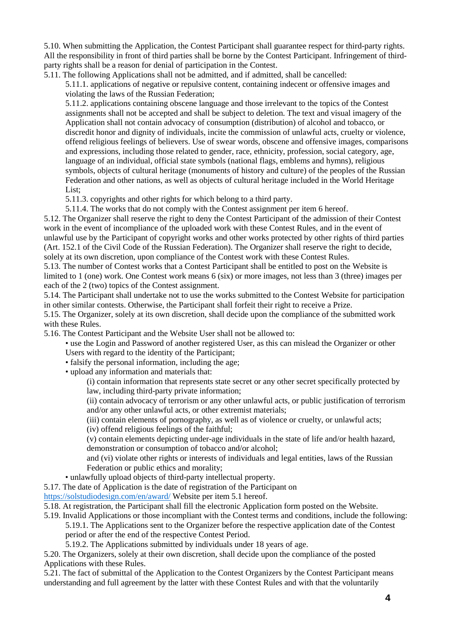5.10. When submitting the Application, the Contest Participant shall guarantee respect for third-party rights. All the responsibility in front of third parties shall be borne by the Contest Participant. Infringement of thirdparty rights shall be a reason for denial of participation in the Contest.

5.11. The following Applications shall not be admitted, and if admitted, shall be cancelled:

5.11.1. applications of negative or repulsive content, containing indecent or offensive images and violating the laws of the Russian Federation;

5.11.2. applications containing obscene language and those irrelevant to the topics of the Contest assignments shall not be accepted and shall be subject to deletion. The text and visual imagery of the Application shall not contain advocacy of consumption (distribution) of alcohol and tobacco, or discredit honor and dignity of individuals, incite the commission of unlawful acts, cruelty or violence, offend religious feelings of believers. Use of swear words, obscene and offensive images, comparisons and expressions, including those related to gender, race, ethnicity, profession, social category, age, language of an individual, official state symbols (national flags, emblems and hymns), religious symbols, objects of cultural heritage (monuments of history and culture) of the peoples of the Russian Federation and other nations, as well as objects of cultural heritage included in the World Heritage List:

5.11.3. copyrights and other rights for which belong to a third party.

5.11.4. The works that do not comply with the Contest assignment per item 6 hereof.

5.12. The Organizer shall reserve the right to deny the Contest Participant of the admission of their Contest work in the event of incompliance of the uploaded work with these Contest Rules, and in the event of unlawful use by the Participant of copyright works and other works protected by other rights of third parties (Art. 152.1 of the Civil Code of the Russian Federation). The Organizer shall reserve the right to decide, solely at its own discretion, upon compliance of the Contest work with these Contest Rules.

5.13. The number of Contest works that a Contest Participant shall be entitled to post on the Website is limited to 1 (one) work. One Contest work means 6 (six) or more images, not less than 3 (three) images per each of the 2 (two) topics of the Contest assignment.

5.14. The Participant shall undertake not to use the works submitted to the Contest Website for participation in other similar contests. Otherwise, the Participant shall forfeit their right to receive a Prize.

5.15. The Organizer, solely at its own discretion, shall decide upon the compliance of the submitted work with these Rules.

5.16. The Contest Participant and the Website User shall not be allowed to:

• use the Login and Password of another registered User, as this can mislead the Organizer or other Users with regard to the identity of the Participant;

• falsify the personal information, including the age;

• upload any information and materials that:

(i) contain information that represents state secret or any other secret specifically protected by law, including third-party private information;

(ii) contain advocacy of terrorism or any other unlawful acts, or public justification of terrorism and/or any other unlawful acts, or other extremist materials;

(iii) contain elements of pornography, as well as of violence or cruelty, or unlawful acts;

(iv) offend religious feelings of the faithful;

(v) contain elements depicting under-age individuals in the state of life and/or health hazard, demonstration or consumption of tobacco and/or alcohol;

and (vi) violate other rights or interests of individuals and legal entities, laws of the Russian Federation or public ethics and morality;

• unlawfully upload objects of third-party intellectual property.

5.17. The date of Application is the date of registration of the Participant on

<https://solstudiodesign.com/en/award/> Website per item 5.1 hereof.

5.18. At registration, the Participant shall fill the electronic Application form posted on the Website.

5.19. Invalid Applications or those incompliant with the Contest terms and conditions, include the following: 5.19.1. The Applications sent to the Organizer before the respective application date of the Contest

period or after the end of the respective Contest Period.

5.19.2. The Applications submitted by individuals under 18 years of age.

5.20. The Organizers, solely at their own discretion, shall decide upon the compliance of the posted Applications with these Rules.

5.21. The fact of submittal of the Application to the Contest Organizers by the Contest Participant means understanding and full agreement by the latter with these Contest Rules and with that the voluntarily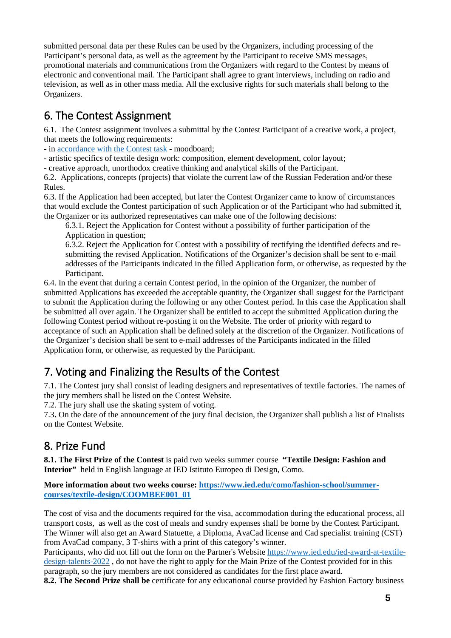submitted personal data per these Rules can be used by the Organizers, including processing of the Participant's personal data, as well as the agreement by the Participant to receive SMS messages, promotional materials and communications from the Organizers with regard to the Contest by means of electronic and conventional mail. The Participant shall agree to grant interviews, including on radio and television, as well as in other mass media. All the exclusive rights for such materials shall belong to the Organizers.

# 6. The Contest Assignment

6.1. The Contest assignment involves a submittal by the Contest Participant of a creative work, a project, that meets the following requirements:

- in [accordance with the Contest task](https://solstudiodesign.com/wp-content/uploads/2018/02/moodboard-en.pdf) - moodboard;

- artistic specifics of textile design work: composition, element development, color layout;

- creative approach, unorthodox creative thinking and analytical skills of the Participant.

6.2. Applications, concepts (projects) that violate the current law of the Russian Federation and/or these Rules.

6.3. If the Application had been accepted, but later the Contest Organizer came to know of circumstances that would exclude the Contest participation of such Application or of the Participant who had submitted it, the Organizer or its authorized representatives can make one of the following decisions:

6.3.1. Reject the Application for Contest without a possibility of further participation of the Application in question;

6.3.2. Reject the Application for Contest with a possibility of rectifying the identified defects and resubmitting the revised Application. Notifications of the Organizer's decision shall be sent to e-mail addresses of the Participants indicated in the filled Application form, or otherwise, as requested by the Participant.

6.4. In the event that during a certain Contest period, in the opinion of the Organizer, the number of submitted Applications has exceeded the acceptable quantity, the Organizer shall suggest for the Participant to submit the Application during the following or any other Contest period. In this case the Application shall be submitted all over again. The Organizer shall be entitled to accept the submitted Application during the following Contest period without re-posting it on the Website. The order of priority with regard to acceptance of such an Application shall be defined solely at the discretion of the Organizer. Notifications of the Organizer's decision shall be sent to e-mail addresses of the Participants indicated in the filled Application form, or otherwise, as requested by the Participant.

# 7. Voting and Finalizing the Results of the Contest

7.1. The Contest jury shall consist of leading designers and representatives of textile factories. The names of the jury members shall be listed on the Contest Website.

7.2. The jury shall use the skating system of voting.

7.3**.** On the date of the announcement of the jury final decision, the Organizer shall publish a list of Finalists on the Contest Website.

# 8. Prize Fund

**8.1. The First Prize of the Contest** is paid two weeks summer course **"Textile Design: Fashion and Interior"** held in English language at IED Istituto Europeo di Design, Como.

**More information about two weeks course: [https://www.ied.edu/como/fashion-school/summer](https://www.ied.edu/como/fashion-school/summer-courses/textile-design/COOMBEE001_01)[courses/textile-design/COOMBEE001\\_01](https://www.ied.edu/como/fashion-school/summer-courses/textile-design/COOMBEE001_01)**

The cost of visa and the documents required for the visa, accommodation during the educational process, all transport costs, as well as the cost of meals and sundry expenses shall be borne by the Contest Participant. The Winner will also get an Award Statuette, a Diploma, AvaCad license and Cad specialist training (CST) from AvaCad company, 3 T-shirts with a print of this category's winner.

Participants, who did not fill out the form on the Partner's Website [https://www.ied.edu/ied-award-at-textile](https://www.ied.edu/ied-award-at-textile-design-talents-2022)[design-talents-2022](https://www.ied.edu/ied-award-at-textile-design-talents-2022) , do not have the right to apply for the Main Prize of the Contest provided for in this paragraph, so the jury members are not considered as candidates for the first place award.

**8.2. The Second Prize shall be** certificate for any educational course provided by Fashion Factory business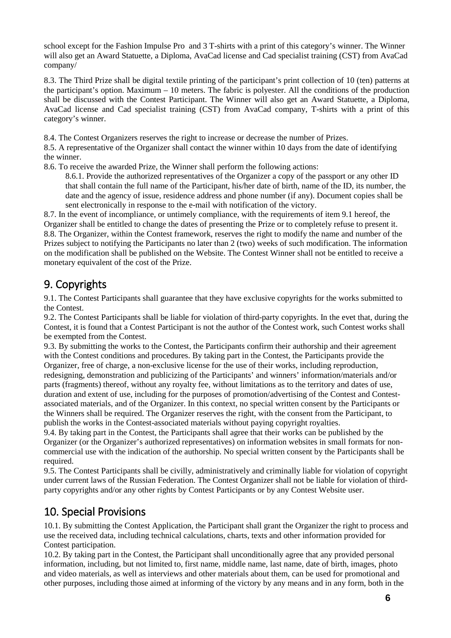school except for the Fashion Impulse Pro and 3 T-shirts with a print of this category's winner. The Winner will also get an Award Statuette, a Diploma, AvaCad license and Cad specialist training (CST) from AvaCad company/

8.3. The Third Prize shall be digital textile printing of the participant's print collection of 10 (ten) patterns at the participant's option. Maximum – 10 meters. The fabric is polyester. All the conditions of the production shall be discussed with the Contest Participant. The Winner will also get an Award Statuette, a Diploma, AvaCad license and Cad specialist training (CST) from AvaCad company, T-shirts with a print of this category's winner.

8.4. The Contest Organizers reserves the right to increase or decrease the number of Prizes.

8.5. A representative of the Organizer shall contact the winner within 10 days from the date of identifying the winner.

8.6. To receive the awarded Prize, the Winner shall perform the following actions:

8.6.1. Provide the authorized representatives of the Organizer a copy of the passport or any other ID that shall contain the full name of the Participant, his/her date of birth, name of the ID, its number, the date and the agency of issue, residence address and phone number (if any). Document copies shall be sent electronically in response to the e-mail with notification of the victory.

8.7. In the event of incompliance, or untimely compliance, with the requirements of item 9.1 hereof, the Organizer shall be entitled to change the dates of presenting the Prize or to completely refuse to present it. 8.8. The Organizer, within the Contest framework, reserves the right to modify the name and number of the Prizes subject to notifying the Participants no later than 2 (two) weeks of such modification. The information on the modification shall be published on the Website. The Contest Winner shall not be entitled to receive a monetary equivalent of the cost of the Prize.

# 9. Copyrights

9.1. The Contest Participants shall guarantee that they have exclusive copyrights for the works submitted to the Contest.

9.2. The Contest Participants shall be liable for violation of third-party copyrights. In the evet that, during the Contest, it is found that a Contest Participant is not the author of the Contest work, such Contest works shall be exempted from the Contest.

9.3. By submitting the works to the Contest, the Participants confirm their authorship and their agreement with the Contest conditions and procedures. By taking part in the Contest, the Participants provide the Organizer, free of charge, a non-exclusive license for the use of their works, including reproduction, redesigning, demonstration and publicizing of the Participants' and winners' information/materials and/or parts (fragments) thereof, without any royalty fee, without limitations as to the territory and dates of use, duration and extent of use, including for the purposes of promotion/advertising of the Contest and Contestassociated materials, and of the Organizer. In this context, no special written consent by the Participants or the Winners shall be required. The Organizer reserves the right, with the consent from the Participant, to publish the works in the Contest-associated materials without paying copyright royalties.

9.4. By taking part in the Contest, the Participants shall agree that their works can be published by the Organizer (or the Organizer's authorized representatives) on information websites in small formats for noncommercial use with the indication of the authorship. No special written consent by the Participants shall be required.

9.5. The Contest Participants shall be civilly, administratively and criminally liable for violation of copyright under current laws of the Russian Federation. The Contest Organizer shall not be liable for violation of thirdparty copyrights and/or any other rights by Contest Participants or by any Contest Website user.

# 10. Special Provisions

10.1. By submitting the Contest Application, the Participant shall grant the Organizer the right to process and use the received data, including technical calculations, charts, texts and other information provided for Contest participation.

10.2. By taking part in the Contest, the Participant shall unconditionally agree that any provided personal information, including, but not limited to, first name, middle name, last name, date of birth, images, photo and video materials, as well as interviews and other materials about them, can be used for promotional and other purposes, including those aimed at informing of the victory by any means and in any form, both in the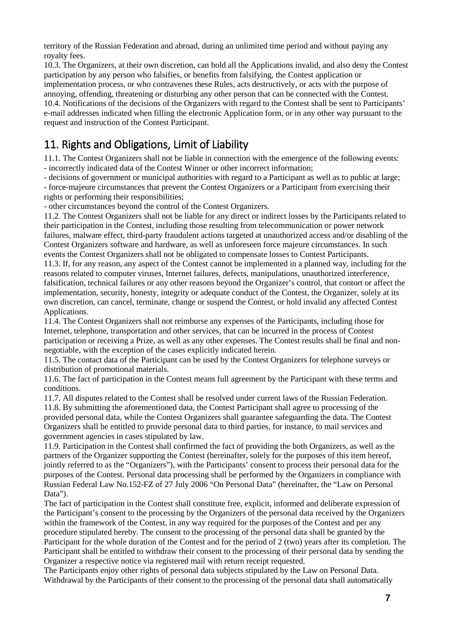territory of the Russian Federation and abroad, during an unlimited time period and without paying any royalty fees.

10.3. The Organizers, at their own discretion, can hold all the Applications invalid, and also deny the Contest participation by any person who falsifies, or benefits from falsifying, the Contest application or implementation process, or who contravenes these Rules, acts destructively, or acts with the purpose of annoying, offending, threatening or disturbing any other person that can be connected with the Contest. 10.4. Notifications of the decisions of the Organizers with regard to the Contest shall be sent to Participants' e-mail addresses indicated when filling the electronic Application form, or in any other way pursuant to the request and instruction of the Contest Participant.

# 11. Rights and Obligations, Limit of Liability

11.1. The Contest Organizers shall not be liable in connection with the emergence of the following events: - incorrectly indicated data of the Contest Winner or other incorrect information;

- decisions of government or municipal authorities with regard to a Participant as well as to public at large;

- force-majeure circumstances that prevent the Contest Organizers or a Participant from exercising their rights or performing their responsibilities;

- other circumstances beyond the control of the Contest Organizers.

11.2. The Contest Organizers shall not be liable for any direct or indirect losses by the Participants related to their participation in the Contest, including those resulting from telecommunication or power network failures, malware effect, third-party fraudulent actions targeted at unauthorized access and/or disabling of the Contest Organizers software and hardware, as well as unforeseen force majeure circumstances. In such events the Contest Organizers shall not be obligated to compensate losses to Contest Participants.

11.3. If, for any reason, any aspect of the Contest cannot be implemented in a planned way, including for the reasons related to computer viruses, Internet failures, defects, manipulations, unauthorized interference, falsification, technical failures or any other reasons beyond the Organizer's control, that contort or affect the implementation, security, honesty, integrity or adequate conduct of the Contest, the Organizer, solely at its own discretion, can cancel, terminate, change or suspend the Contest, or hold invalid any affected Contest Applications.

11.4. The Contest Organizers shall not reimburse any expenses of the Participants, including those for Internet, telephone, transportation and other services, that can be incurred in the process of Contest participation or receiving a Prize, as well as any other expenses. The Contest results shall be final and nonnegotiable, with the exception of the cases explicitly indicated herein.

11.5. The contact data of the Participant can be used by the Contest Organizers for telephone surveys or distribution of promotional materials.

11.6. The fact of participation in the Contest means full agreement by the Participant with these terms and conditions.

11.7. All disputes related to the Contest shall be resolved under current laws of the Russian Federation. 11.8. By submitting the aforementioned data, the Contest Participant shall agree to processing of the provided personal data, while the Contest Organizers shall guarantee safeguarding the data. The Contest Organizers shall be entitled to provide personal data to third parties, for instance, to mail services and government agencies in cases stipulated by law.

11.9. Participation in the Contest shall confirmed the fact of providing the both Organizers, as well as the partners of the Organizer supporting the Contest (hereinafter, solely for the purposes of this item hereof, jointly referred to as the "Organizers"), with the Participants' consent to process their personal data for the purposes of the Contest. Personal data processing shall be performed by the Organizers in compliance with Russian Federal Law No.152-FZ of 27 July 2006 "On Personal Data" (hereinafter, the "Law on Personal Data").

The fact of participation in the Contest shall constitute free, explicit, informed and deliberate expression of the Participant's consent to the processing by the Organizers of the personal data received by the Organizers within the framework of the Contest, in any way required for the purposes of the Contest and per any procedure stipulated hereby. The consent to the processing of the personal data shall be granted by the Participant for the whole duration of the Contest and for the period of 2 (two) years after its completion. The Participant shall be entitled to withdraw their consent to the processing of their personal data by sending the Organizer a respective notice via registered mail with return receipt requested.

The Participants enjoy other rights of personal data subjects stipulated by the Law on Personal Data. Withdrawal by the Participants of their consent to the processing of the personal data shall automatically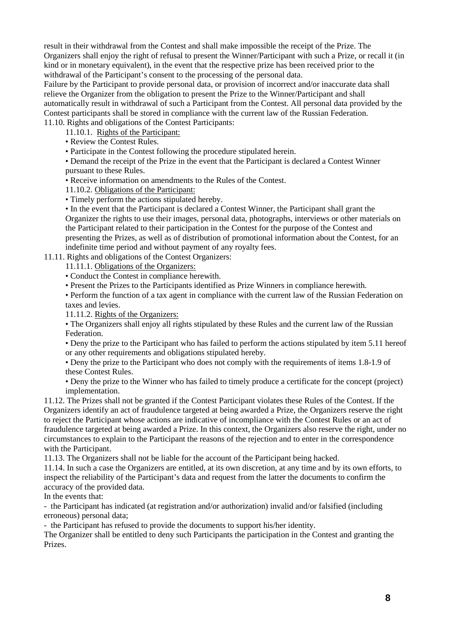result in their withdrawal from the Contest and shall make impossible the receipt of the Prize. The Organizers shall enjoy the right of refusal to present the Winner/Participant with such a Prize, or recall it (in kind or in monetary equivalent), in the event that the respective prize has been received prior to the withdrawal of the Participant's consent to the processing of the personal data.

Failure by the Participant to provide personal data, or provision of incorrect and/or inaccurate data shall relieve the Organizer from the obligation to present the Prize to the Winner/Participant and shall automatically result in withdrawal of such a Participant from the Contest. All personal data provided by the Contest participants shall be stored in compliance with the current law of the Russian Federation. 11.10. Rights and obligations of the Contest Participants:

11.10.1. Rights of the Participant:

• Review the Contest Rules.

• Participate in the Contest following the procedure stipulated herein.

• Demand the receipt of the Prize in the event that the Participant is declared a Contest Winner pursuant to these Rules.

• Receive information on amendments to the Rules of the Contest.

11.10.2. Obligations of the Participant:

• Timely perform the actions stipulated hereby.

• In the event that the Participant is declared a Contest Winner, the Participant shall grant the Organizer the rights to use their images, personal data, photographs, interviews or other materials on the Participant related to their participation in the Contest for the purpose of the Contest and presenting the Prizes, as well as of distribution of promotional information about the Contest, for an indefinite time period and without payment of any royalty fees.

11.11. Rights and obligations of the Contest Organizers:

11.11.1. Obligations of the Organizers:

• Conduct the Contest in compliance herewith.

• Present the Prizes to the Participants identified as Prize Winners in compliance herewith.

• Perform the function of a tax agent in compliance with the current law of the Russian Federation on taxes and levies.

11.11.2. Rights of the Organizers:

• The Organizers shall enjoy all rights stipulated by these Rules and the current law of the Russian Federation.

• Deny the prize to the Participant who has failed to perform the actions stipulated by item 5.11 hereof or any other requirements and obligations stipulated hereby.

• Deny the prize to the Participant who does not comply with the requirements of items 1.8-1.9 of these Contest Rules.

• Deny the prize to the Winner who has failed to timely produce a certificate for the concept (project) implementation.

11.12. The Prizes shall not be granted if the Contest Participant violates these Rules of the Contest. If the Organizers identify an act of fraudulence targeted at being awarded a Prize, the Organizers reserve the right to reject the Participant whose actions are indicative of incompliance with the Contest Rules or an act of fraudulence targeted at being awarded a Prize. In this context, the Organizers also reserve the right, under no circumstances to explain to the Participant the reasons of the rejection and to enter in the correspondence with the Participant.

11.13. The Organizers shall not be liable for the account of the Participant being hacked.

11.14. In such a case the Organizers are entitled, at its own discretion, at any time and by its own efforts, to inspect the reliability of the Participant's data and request from the latter the documents to confirm the accuracy of the provided data.

In the events that:

- the Participant has indicated (at registration and/or authorization) invalid and/or falsified (including erroneous) personal data;

- the Participant has refused to provide the documents to support his/her identity.

The Organizer shall be entitled to deny such Participants the participation in the Contest and granting the Prizes.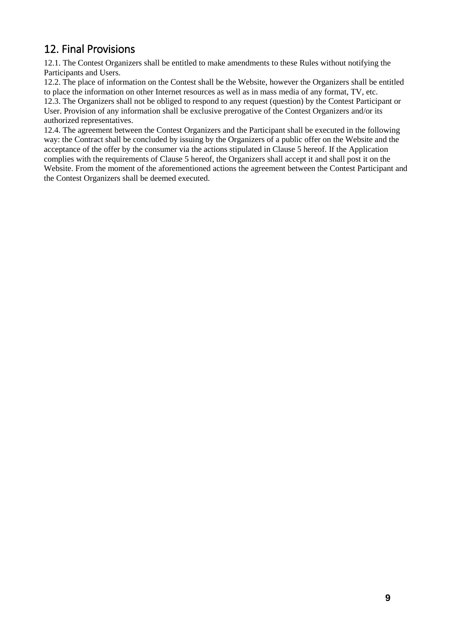# 12. Final Provisions

12.1. The Contest Organizers shall be entitled to make amendments to these Rules without notifying the Participants and Users.

12.2. The place of information on the Contest shall be the Website, however the Organizers shall be entitled to place the information on other Internet resources as well as in mass media of any format, TV, etc. 12.3. The Organizers shall not be obliged to respond to any request (question) by the Contest Participant or User. Provision of any information shall be exclusive prerogative of the Contest Organizers and/or its authorized representatives.

12.4. The agreement between the Contest Organizers and the Participant shall be executed in the following way: the Contract shall be concluded by issuing by the Organizers of a public offer on the Website and the acceptance of the offer by the consumer via the actions stipulated in Clause 5 hereof. If the Application complies with the requirements of Clause 5 hereof, the Organizers shall accept it and shall post it on the Website. From the moment of the aforementioned actions the agreement between the Contest Participant and the Contest Organizers shall be deemed executed.